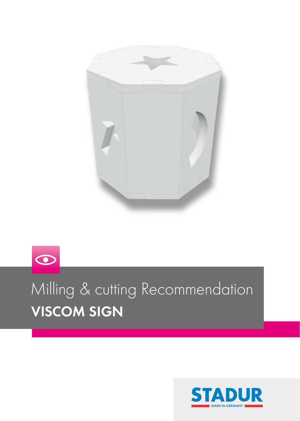

# $\odot$ Milling & cutting Recommendation VISCOM SIGN

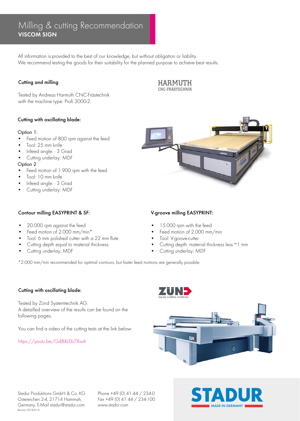# VISCOM SIGN Milling & cutting Recommendation

All information is provided to the best of our knowledge, but without obligation or liability. We recommend testing the goods for their suitability for the planned purpose to achieve best results.

## Cutting and milling

Tested by Andreas Harmuth CNC-Frästechnik with the machine type: Profi 3000-2.

#### Cutting with oscillating blade:

#### Option 1:

- Feed motion of 800 rpm against the feed
- Tool: 25 mm knife
- Infeed angle: 3 Grad
- Cutting underlay: MDF

#### Option 2

- Feed motion of 1.900 rpm with the feed
- Tool: 10 mm knife
- Infeed angle: 3 Grad
- Cutting underlay: MDF

#### Contour milling EASYPRINT & SF:

- 20.000 rpm against the feed
- Feed motion of 2.000 mm/min\*
- Tool: 6 mm polished cutter with a 22 mm flute
- Cutting depth equal to material thickness
- Cutting underlay: MDF

## V-groove milling EASYPRINT:

- 15.000 rpm with the feed
- Feed motion of 2.000 mm/min
- Tool: V-goove-cutter
- Cutting depth: material thickness less ~1 mm
- Cutting underlay: MDF

\*2.000 mm/min recommended for optimal contours, but faster feed motions are generally possible.

#### Cutting with oscillating blade:

Tested by Zünd Systemtechnik AG. A detailled overview of the results can be found on the following pages.

You can find a video of the cutting tests at the link below:

https://youtu.be/G4BXLEb7Xw4

![](_page_1_Picture_32.jpeg)

![](_page_1_Picture_33.jpeg)

Stadur Produktions GmbH & Co. KG Ostereichen 2-4, 21714 Hammah, Germany, E-Mail stadur@stadur.com Revision 2018-01-A

Phone +49 (0) 41 44 / 234-0 Fax +49 (0) 41 44 / 234-100 www.stadur.com **MADE IN GERMANY** 

![](_page_1_Picture_36.jpeg)

### **HARMUTH** CNC-FRÄSTECHNIK

![](_page_1_Picture_38.jpeg)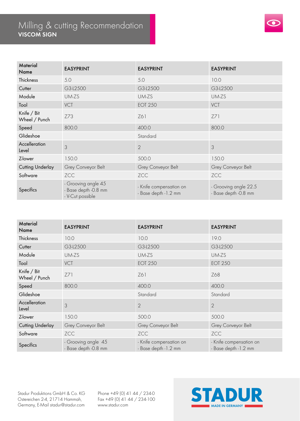## VISCOM SIGN Milling & cutting Recommendation

![](_page_2_Picture_1.jpeg)

| Material<br>Name             | <b>EASYPRINT</b>                                                | <b>EASYPRINT</b>                                 | <b>EASYPRINT</b>                              |
|------------------------------|-----------------------------------------------------------------|--------------------------------------------------|-----------------------------------------------|
| Thickness                    | 5.0                                                             | 5.0                                              | 10.0                                          |
| Cutter                       | G3-L2500                                                        | G3-L2500                                         | G3-L2500                                      |
| Module                       | UM-ZS                                                           | UM-ZS                                            | UM-ZS                                         |
| Tool                         | VCT                                                             | <b>EOT 250</b>                                   | VCT                                           |
| Knife / Bit<br>Wheel / Punch | Z73                                                             | Z61                                              | Z71                                           |
| Speed                        | 800.0                                                           | 400.0                                            | 800.0                                         |
| Glideshoe                    |                                                                 | Standard                                         |                                               |
| Accelleration<br>Level       | 3                                                               | $\overline{2}$                                   | 3                                             |
| Z-lower                      | 150.0                                                           | 500.0                                            | 150.0                                         |
| <b>Cutting Underlay</b>      | Grey Conveyor Belt                                              | Grey Conveyor Belt                               | Grey Conveyor Belt                            |
| Software                     | ZCC                                                             | ZCC                                              | ZCC                                           |
| Specifics                    | - Grooving angle 45<br>- Base depth -0.8 mm<br>- V-Cut possible | - Knife compensation on<br>- Base depth - 1.2 mm | - Grooving angle 22.5<br>- Base depth -0.8 mm |

| Material<br>Name             | <b>EASYPRINT</b>                            | <b>EASYPRINT</b>                                 | <b>EASYPRINT</b>                                 |
|------------------------------|---------------------------------------------|--------------------------------------------------|--------------------------------------------------|
| Thickness                    | 10.0                                        | 10.0                                             | 19.0                                             |
| Cutter                       | G3-L2500                                    | G3-L2500                                         | G3-L2500                                         |
| Module                       | UM-ZS                                       | UM-ZS                                            | UM-ZS                                            |
| Tool                         | VCT                                         | <b>EOT 250</b>                                   | <b>EOT 250</b>                                   |
| Knife / Bit<br>Wheel / Punch | Z71                                         | Z61                                              | Z68                                              |
| Speed                        | 800.0                                       | 400.0                                            | 400.0                                            |
| Glideshoe                    |                                             | Standard                                         | Standard                                         |
| Accelleration<br>Level       | 3                                           | $\overline{2}$                                   | $\overline{2}$                                   |
| Z-lower                      | 150.0                                       | 500.0                                            | 500.0                                            |
| <b>Cutting Underlay</b>      | Grey Conveyor Belt                          | Grey Conveyor Belt                               | Grey Conveyor Belt                               |
| Software                     | ZCC                                         | ZCC                                              | ZCC                                              |
| Specifics                    | - Grooving angle 45<br>- Base depth -0.8 mm | - Knife compensation on<br>- Base depth - 1.2 mm | - Knife compensation on<br>- Base depth - 1.2 mm |

Stadur Produktions GmbH & Co. KG Ostereichen 2-4, 21714 Hammah, Germany, E-Mail stadur@stadur.com Phone +49 (0) 41 44 / 234-0 Fax +49 (0) 41 44 / 234-100

![](_page_2_Picture_6.jpeg)